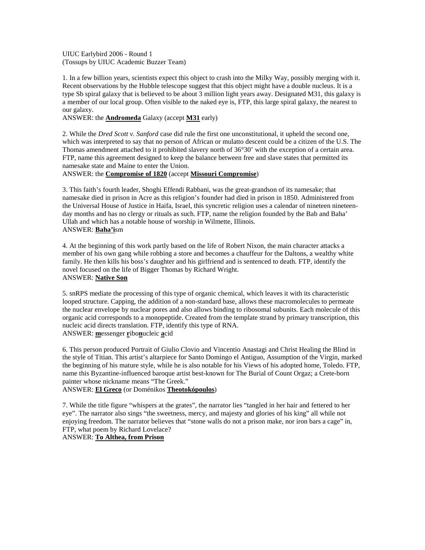UIUC Earlybird 2006 - Round 1 (Tossups by UIUC Academic Buzzer Team)

1. In a few billion years, scientists expect this object to crash into the Milky Way, possibly merging with it. Recent observations by the Hubble telescope suggest that this object might have a double nucleus. It is a type Sb spiral galaxy that is believed to be about 3 million light years away. Designated M31, this galaxy is a member of our local group. Often visible to the naked eye is, FTP, this large spiral galaxy, the nearest to our galaxy.

## ANSWER: the **Andromeda** Galaxy (accept **M31** early)

2. While the *Dred Scott v. Sanford* case did rule the first one unconstitutional, it upheld the second one, which was interpreted to say that no person of African or mulatto descent could be a citizen of the U.S. The Thomas amendment attached to it prohibited slavery north of 36°30' with the exception of a certain area. FTP, name this agreement designed to keep the balance between free and slave states that permitted its namesake state and Maine to enter the Union.

## ANSWER: the **Compromise of 1820** (accept **Missouri Compromise**)

3. This faith's fourth leader, Shoghi Effendi Rabbani, was the great-grandson of its namesake; that namesake died in prison in Acre as this religion's founder had died in prison in 1850. Administered from the Universal House of Justice in Haifa, Israel, this syncretic religion uses a calendar of nineteen nineteenday months and has no clergy or rituals as such. FTP, name the religion founded by the Bab and Baha' Ullah and which has a notable house of worship in Wilmette, Illinois. ANSWER: **Baha'i**sm

4. At the beginning of this work partly based on the life of Robert Nixon, the main character attacks a member of his own gang while robbing a store and becomes a chauffeur for the Daltons, a wealthy white family. He then kills his boss's daughter and his girlfriend and is sentenced to death. FTP, identify the novel focused on the life of Bigger Thomas by Richard Wright. ANSWER: **Native Son**

5. snRPS mediate the processing of this type of organic chemical, which leaves it with its characteristic looped structure. Capping, the addition of a non-standard base, allows these macromolecules to permeate the nuclear envelope by nuclear pores and also allows binding to ribosomal subunits. Each molecule of this organic acid corresponds to a monopeptide. Created from the template strand by primary transcription, this nucleic acid directs translation. FTP, identify this type of RNA. ANSWER: **m**essenger **r**ibo**n**ucleic **a**cid

6. This person produced Portrait of Giulio Clovio and Vincentio Anastagi and Christ Healing the Blind in the style of Titian. This artist's altarpiece for Santo Domingo el Antiguo, Assumption of the Virgin, marked the beginning of his mature style, while he is also notable for his Views of his adopted home, Toledo. FTP, name this Byzantine-influenced baroque artist best-known for The Burial of Count Orgaz; a Crete-born painter whose nickname means "The Greek."

ANSWER: **El Greco** (or Doménikos **Theotokópoulos**)

7. While the title figure "whispers at the grates", the narrator lies "tangled in her hair and fettered to her eye". The narrator also sings "the sweetness, mercy, and majesty and glories of his king" all while not enjoying freedom. The narrator believes that "stone walls do not a prison make, nor iron bars a cage" in, FTP, what poem by Richard Lovelace?

# ANSWER: **To Althea, from Prison**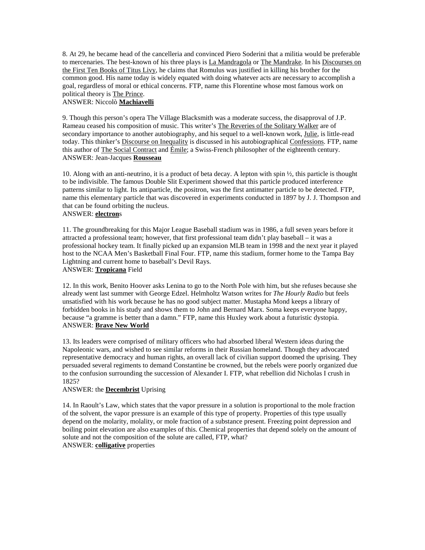8. At 29, he became head of the cancelleria and convinced Piero Soderini that a militia would be preferable to mercenaries. The best-known of his three plays is La Mandragola or The Mandrake. In his Discourses on the First Ten Books of Titus Livy, he claims that Romulus was justified in killing his brother for the common good. His name today is widely equated with doing whatever acts are necessary to accomplish a goal, regardless of moral or ethical concerns. FTP, name this Florentine whose most famous work on political theory is The Prince.

## ANSWER: Niccolò **Machiavelli**

9. Though this person's opera The Village Blacksmith was a moderate success, the disapproval of J.P. Rameau ceased his composition of music. This writer's The Reveries of the Solitary Walker are of secondary importance to another autobiography, and his sequel to a well-known work, Julie, is little-read today. This thinker's Discourse on Inequality is discussed in his autobiographical Confessions. FTP, name this author of The Social Contract and Émile; a Swiss-French philosopher of the eighteenth century. ANSWER: Jean-Jacques **Rousseau**

10. Along with an anti-neutrino, it is a product of beta decay. A lepton with spin ½, this particle is thought to be indivisible. The famous Double Slit Experiment showed that this particle produced interference patterns similar to light. Its antiparticle, the positron, was the first antimatter particle to be detected. FTP, name this elementary particle that was discovered in experiments conducted in 1897 by J. J. Thompson and that can be found orbiting the nucleus.

# ANSWER: **electron**s

11. The groundbreaking for this Major League Baseball stadium was in 1986, a full seven years before it attracted a professional team; however, that first professional team didn't play baseball – it was a professional hockey team. It finally picked up an expansion MLB team in 1998 and the next year it played host to the NCAA Men's Basketball Final Four. FTP, name this stadium, former home to the Tampa Bay Lightning and current home to baseball's Devil Rays. ANSWER: **Tropicana** Field

12. In this work, Benito Hoover asks Lenina to go to the North Pole with him, but she refuses because she already went last summer with George Edzel. Helmholtz Watson writes for *The Hourly Radio* but feels unsatisfied with his work because he has no good subject matter. Mustapha Mond keeps a library of forbidden books in his study and shows them to John and Bernard Marx. Soma keeps everyone happy, because "a gramme is better than a damn." FTP, name this Huxley work about a futuristic dystopia. ANSWER: **Brave New World**

13. Its leaders were comprised of military officers who had absorbed liberal Western ideas during the Napoleonic wars, and wished to see similar reforms in their Russian homeland. Though they advocated representative democracy and human rights, an overall lack of civilian support doomed the uprising. They persuaded several regiments to demand Constantine be crowned, but the rebels were poorly organized due to the confusion surrounding the succession of Alexander I. FTP, what rebellion did Nicholas I crush in 1825?

## ANSWER: the **Decembrist** Uprising

14. In Raoult's Law, which states that the vapor pressure in a solution is proportional to the mole fraction of the solvent, the vapor pressure is an example of this type of property. Properties of this type usually depend on the molarity, molality, or mole fraction of a substance present. Freezing point depression and boiling point elevation are also examples of this. Chemical properties that depend solely on the amount of solute and not the composition of the solute are called, FTP, what? ANSWER: **colligative** properties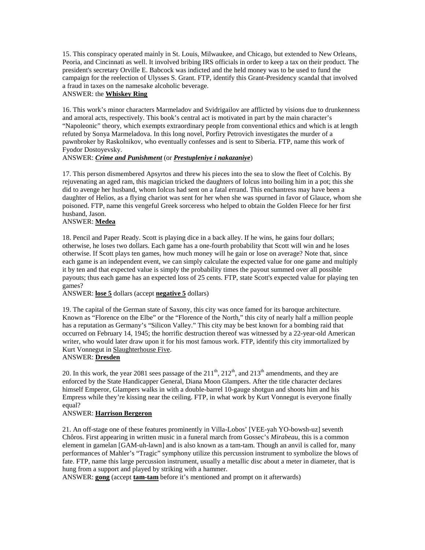15. This conspiracy operated mainly in St. Louis, Milwaukee, and Chicago, but extended to New Orleans, Peoria, and Cincinnati as well. It involved bribing IRS officials in order to keep a tax on their product. The president's secretary Orville E. Babcock was indicted and the held money was to be used to fund the campaign for the reelection of Ulysses S. Grant. FTP, identify this Grant-Presidency scandal that involved a fraud in taxes on the namesake alcoholic beverage.

# ANSWER: the **Whiskey Ring**

16. This work's minor characters Marmeladov and Svidrigailov are afflicted by visions due to drunkenness and amoral acts, respectively. This book's central act is motivated in part by the main character's "Napoleonic" theory, which exempts extraordinary people from conventional ethics and which is at length refuted by Sonya Marmeladova. In this long novel, Porfiry Petrovich investigates the murder of a pawnbroker by Raskolnikov, who eventually confesses and is sent to Siberia. FTP, name this work of Fyodor Dostoyevsky.

## ANSWER: *Crime and Punishment* (or *Prestupleniye i nakazaniye*)

17. This person dismembered Apsyrtos and threw his pieces into the sea to slow the fleet of Colchis. By rejuvenating an aged ram, this magician tricked the daughters of Iolcus into boiling him in a pot; this she did to avenge her husband, whom Iolcus had sent on a fatal errand. This enchantress may have been a daughter of Helios, as a flying chariot was sent for her when she was spurned in favor of Glauce, whom she poisoned. FTP, name this vengeful Greek sorceress who helped to obtain the Golden Fleece for her first husband, Jason.

# ANSWER: **Medea**

18. Pencil and Paper Ready. Scott is playing dice in a back alley. If he wins, he gains four dollars; otherwise, he loses two dollars. Each game has a one-fourth probability that Scott will win and he loses otherwise. If Scott plays ten games, how much money will he gain or lose on average? Note that, since each game is an independent event, we can simply calculate the expected value for one game and multiply it by ten and that expected value is simply the probability times the payout summed over all possible payouts; thus each game has an expected loss of 25 cents. FTP, state Scott's expected value for playing ten games?

ANSWER: **lose 5** dollars (accept **negative 5** dollars)

19. The capital of the German state of Saxony, this city was once famed for its baroque architecture. Known as "Florence on the Elbe" or the "Florence of the North," this city of nearly half a million people has a reputation as Germany's "Silicon Valley." This city may be best known for a bombing raid that occurred on February 14, 1945; the horrific destruction thereof was witnessed by a 22-year-old American writer, who would later draw upon it for his most famous work. FTP, identify this city immortalized by Kurt Vonnegut in Slaughterhouse Five.

## ANSWER: **Dresden**

20. In this work, the year 2081 sees passage of the  $211^{th}$ ,  $212^{th}$ , and  $213^{th}$  amendments, and they are enforced by the State Handicapper General, Diana Moon Glampers. After the title character declares himself Emperor, Glampers walks in with a double-barrel 10-gauge shotgun and shoots him and his Empress while they're kissing near the ceiling. FTP, in what work by Kurt Vonnegut is everyone finally equal?

#### ANSWER: **Harrison Bergeron**

21. An off-stage one of these features prominently in Villa-Lobos' [VEE-yah YO-bowsh-uz] seventh Chôros. First appearing in written music in a funeral march from Gossec's *Mirabeau*, this is a common element in gamelan [GAM-uh-lawn] and is also known as a tam-tam. Though an anvil is called for, many performances of Mahler's "Tragic" symphony utilize this percussion instrument to symbolize the blows of fate. FTP, name this large percussion instrument, usually a metallic disc about a meter in diameter, that is hung from a support and played by striking with a hammer.

ANSWER: **gong** (accept **tam-tam** before it's mentioned and prompt on it afterwards)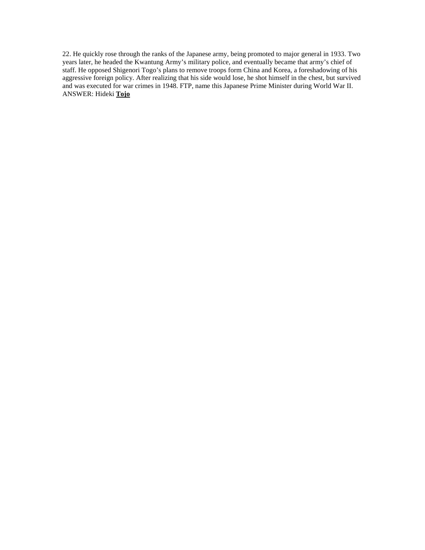22. He quickly rose through the ranks of the Japanese army, being promoted to major general in 1933. Two years later, he headed the Kwantung Army's military police, and eventually became that army's chief of staff. He opposed Shigenori Togo's plans to remove troops form China and Korea, a foreshadowing of his aggressive foreign policy. After realizing that his side would lose, he shot himself in the chest, but survived and was executed for war crimes in 1948. FTP, name this Japanese Prime Minister during World War II. ANSWER: Hideki **Tojo**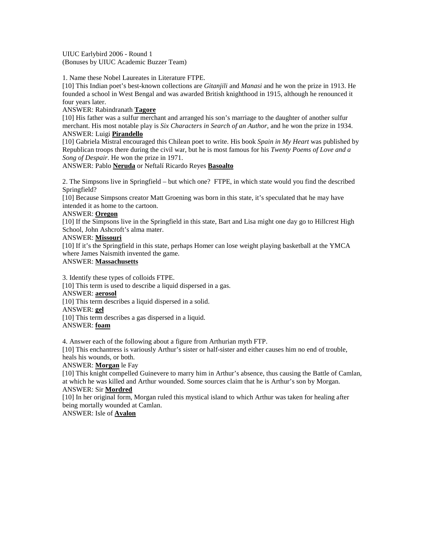UIUC Earlybird 2006 - Round 1 (Bonuses by UIUC Academic Buzzer Team)

1. Name these Nobel Laureates in Literature FTPE.

[10] This Indian poet's best-known collections are *Gitanjili* and *Manasi* and he won the prize in 1913. He founded a school in West Bengal and was awarded British knighthood in 1915, although he renounced it four years later.

ANSWER: Rabindranath **Tagore**

[10] His father was a sulfur merchant and arranged his son's marriage to the daughter of another sulfur merchant. His most notable play is *Six Characters in Search of an Author*, and he won the prize in 1934. ANSWER: Luigi **Pirandello**

[10] Gabriela Mistral encouraged this Chilean poet to write. His book *Spain in My Heart* was published by Republican troops there during the civil war, but he is most famous for his *Twenty Poems of Love and a Song of Despair*. He won the prize in 1971.

ANSWER: Pablo **Neruda** or Neftalí Ricardo Reyes **Basoalto**

2. The Simpsons live in Springfield – but which one? FTPE, in which state would you find the described Springfield?

[10] Because Simpsons creator Matt Groening was born in this state, it's speculated that he may have intended it as home to the cartoon.

## ANSWER: **Oregon**

[10] If the Simpsons live in the Springfield in this state, Bart and Lisa might one day go to Hillcrest High School, John Ashcroft's alma mater.

#### ANSWER: **Missouri**

[10] If it's the Springfield in this state, perhaps Homer can lose weight playing basketball at the YMCA where James Naismith invented the game.

#### ANSWER: **Massachusetts**

3. Identify these types of colloids FTPE. [10] This term is used to describe a liquid dispersed in a gas. ANSWER: **aerosol** [10] This term describes a liquid dispersed in a solid. ANSWER: **gel** [10] This term describes a gas dispersed in a liquid. ANSWER: **foam**

4. Answer each of the following about a figure from Arthurian myth FTP.

[10] This enchantress is variously Arthur's sister or half-sister and either causes him no end of trouble, heals his wounds, or both.

ANSWER: **Morgan** le Fay

[10] This knight compelled Guinevere to marry him in Arthur's absence, thus causing the Battle of Camlan, at which he was killed and Arthur wounded. Some sources claim that he is Arthur's son by Morgan. ANSWER: Sir **Mordred**

[10] In her original form, Morgan ruled this mystical island to which Arthur was taken for healing after being mortally wounded at Camlan.

ANSWER: Isle of **Avalon**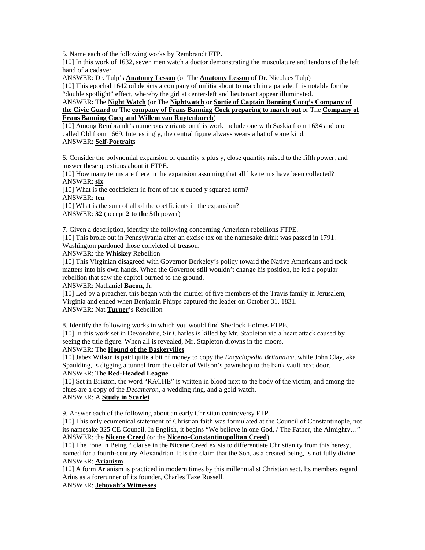5. Name each of the following works by Rembrandt FTP.

[10] In this work of 1632, seven men watch a doctor demonstrating the musculature and tendons of the left hand of a cadaver.

ANSWER: Dr. Tulp's **Anatomy Lesson** (or The **Anatomy Lesson** of Dr. Nicolaes Tulp)

[10] This epochal 1642 oil depicts a company of militia about to march in a parade. It is notable for the "double spotlight" effect, whereby the girl at center-left and lieutenant appear illuminated.

ANSWER: The **Night Watch** (or The **Nightwatch** or **Sortie of Captain Banning Cocq's Company of the Civic Guard** or The **company of Frans Banning Cock preparing to march out** or The **Company of Frans Banning Cocq and Willem van Ruytenburch**)

[10] Among Rembrandt's numerous variants on this work include one with Saskia from 1634 and one called Old from 1669. Interestingly, the central figure always wears a hat of some kind. ANSWER: **Self-Portrait**s

6. Consider the polynomial expansion of quantity x plus y, close quantity raised to the fifth power, and answer these questions about it FTPE.

[10] How many terms are there in the expansion assuming that all like terms have been collected? ANSWER: **six**

[10] What is the coefficient in front of the x cubed y squared term?

ANSWER: **ten**

[10] What is the sum of all of the coefficients in the expansion?

ANSWER: **32** (accept **2 to the 5th** power)

7. Given a description, identify the following concerning American rebellions FTPE.

[10] This broke out in Pennsylvania after an excise tax on the namesake drink was passed in 1791. Washington pardoned those convicted of treason.

ANSWER: the **Whiskey** Rebellion

[10] This Virginian disagreed with Governor Berkeley's policy toward the Native Americans and took matters into his own hands. When the Governor still wouldn't change his position, he led a popular rebellion that saw the capitol burned to the ground.

ANSWER: Nathaniel **Bacon**, Jr.

[10] Led by a preacher, this began with the murder of five members of the Travis family in Jerusalem, Virginia and ended when Benjamin Phipps captured the leader on October 31, 1831. ANSWER: Nat **Turner**'s Rebellion

8. Identify the following works in which you would find Sherlock Holmes FTPE.

[10] In this work set in Devonshire, Sir Charles is killed by Mr. Stapleton via a heart attack caused by seeing the title figure. When all is revealed, Mr. Stapleton drowns in the moors. ANSWER: The **Hound of the Baskervilles**

[10] Jabez Wilson is paid quite a bit of money to copy the *Encyclopedia Britannica*, while John Clay, aka Spaulding, is digging a tunnel from the cellar of Wilson's pawnshop to the bank vault next door.

ANSWER: The **Red-Headed League**

[10] Set in Brixton, the word "RACHE" is written in blood next to the body of the victim, and among the clues are a copy of the *Decameron*, a wedding ring, and a gold watch. ANSWER: A **Study in Scarlet**

9. Answer each of the following about an early Christian controversy FTP.

[10] This only ecumenical statement of Christian faith was formulated at the Council of Constantinople, not its namesake 325 CE Council. In English, it begins "We believe in one God, / The Father, the Almighty…" ANSWER: the **Nicene Creed** (or the **Niceno-Constantinopolitan Creed**)

[10] The "one in Being " clause in the Nicene Creed exists to differentiate Christianity from this heresy, named for a fourth-century Alexandrian. It is the claim that the Son, as a created being, is not fully divine. ANSWER: **Arianism**

[10] A form Arianism is practiced in modern times by this millennialist Christian sect. Its members regard Arius as a forerunner of its founder, Charles Taze Russell.

ANSWER: **Jehovah's Witnesses**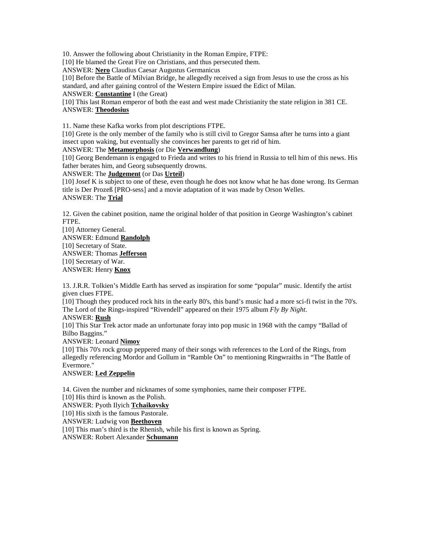10. Answer the following about Christianity in the Roman Empire, FTPE:

[10] He blamed the Great Fire on Christians, and thus persecuted them.

ANSWER: **Nero** Claudius Caesar Augustus Germanicus

[10] Before the Battle of Milvian Bridge, he allegedly received a sign from Jesus to use the cross as his standard, and after gaining control of the Western Empire issued the Edict of Milan.

ANSWER: **Constantine** I (the Great)

[10] This last Roman emperor of both the east and west made Christianity the state religion in 381 CE. ANSWER: **Theodosius**

11. Name these Kafka works from plot descriptions FTPE.

[10] Grete is the only member of the family who is still civil to Gregor Samsa after he turns into a giant insect upon waking, but eventually she convinces her parents to get rid of him.

ANSWER: The **Metamorphosis** (or Die **Verwandlung**)

[10] Georg Bendemann is engaged to Frieda and writes to his friend in Russia to tell him of this news. His father berates him, and Georg subsequently drowns.

ANSWER: The **Judgement** (or Das **Urteil**)

[10] Josef K is subject to one of these, even though he does not know what he has done wrong. Its German title is Der Prozeß [PRO-sess] and a movie adaptation of it was made by Orson Welles. ANSWER: The **Trial**

12. Given the cabinet position, name the original holder of that position in George Washington's cabinet FTPE.

[10] Attorney General. ANSWER: Edmund **Randolph** [10] Secretary of State. ANSWER: Thomas **Jefferson** [10] Secretary of War. ANSWER: Henry **Knox**

13. J.R.R. Tolkien's Middle Earth has served as inspiration for some "popular" music. Identify the artist given clues FTPE.

[10] Though they produced rock hits in the early 80's, this band's music had a more sci-fi twist in the 70's. The Lord of the Rings-inspired "Rivendell" appeared on their 1975 album *Fly By Night*.

ANSWER: **Rush**

[10] This Star Trek actor made an unfortunate foray into pop music in 1968 with the campy "Ballad of Bilbo Baggins."

## ANSWER: Leonard **Nimoy**

[10] This 70's rock group peppered many of their songs with references to the Lord of the Rings, from allegedly referencing Mordor and Gollum in "Ramble On" to mentioning Ringwraiths in "The Battle of Evermore."

## ANSWER: **Led Zeppelin**

14. Given the number and nicknames of some symphonies, name their composer FTPE. [10] His third is known as the Polish. ANSWER: Pyoth Ilyich **Tchaikovsky** [10] His sixth is the famous Pastorale. ANSWER: Ludwig von **Beethoven** [10] This man's third is the Rhenish, while his first is known as Spring. ANSWER: Robert Alexander **Schumann**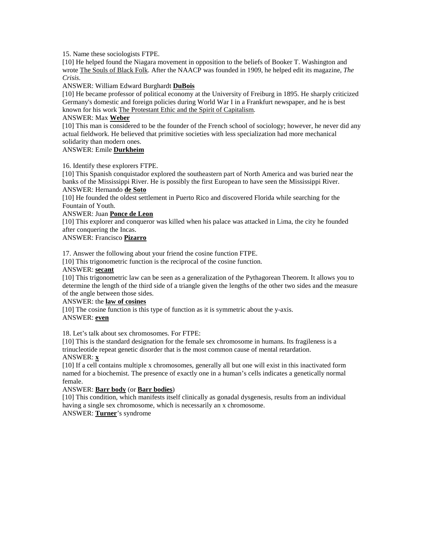15. Name these sociologists FTPE.

[10] He helped found the Niagara movement in opposition to the beliefs of Booker T. Washington and wrote The Souls of Black Folk. After the NAACP was founded in 1909, he helped edit its magazine, *The Crisis*.

ANSWER: William Edward Burghardt **DuBois**

[10] He became professor of political economy at the University of Freiburg in 1895. He sharply criticized Germany's domestic and foreign policies during World War I in a Frankfurt newspaper, and he is best known for his work The Protestant Ethic and the Spirit of Capitalism.

## ANSWER: Max **Weber**

[10] This man is considered to be the founder of the French school of sociology; however, he never did any actual fieldwork. He believed that primitive societies with less specialization had more mechanical solidarity than modern ones.

## ANSWER: Emile **Durkheim**

16. Identify these explorers FTPE.

[10] This Spanish conquistador explored the southeastern part of North America and was buried near the banks of the Mississippi River. He is possibly the first European to have seen the Mississippi River. ANSWER: Hernando **de Soto**

[10] He founded the oldest settlement in Puerto Rico and discovered Florida while searching for the Fountain of Youth.

#### ANSWER: Juan **Ponce de Leon**

[10] This explorer and conqueror was killed when his palace was attacked in Lima, the city he founded after conquering the Incas.

ANSWER: Francisco **Pizarro**

17. Answer the following about your friend the cosine function FTPE.

[10] This trigonometric function is the reciprocal of the cosine function.

#### ANSWER: **secant**

[10] This trigonometric law can be seen as a generalization of the Pythagorean Theorem. It allows you to determine the length of the third side of a triangle given the lengths of the other two sides and the measure of the angle between those sides.

## ANSWER: the **law of cosines**

[10] The cosine function is this type of function as it is symmetric about the y-axis. ANSWER: **even**

18. Let's talk about sex chromosomes. For FTPE:

[10] This is the standard designation for the female sex chromosome in humans. Its fragileness is a trinucleotide repeat genetic disorder that is the most common cause of mental retardation.

# ANSWER: **x**

[10] If a cell contains multiple x chromosomes, generally all but one will exist in this inactivated form named for a biochemist. The presence of exactly one in a human's cells indicates a genetically normal female.

## ANSWER: **Barr body** (or **Barr bodies**)

[10] This condition, which manifests itself clinically as gonadal dysgenesis, results from an individual having a single sex chromosome, which is necessarily an x chromosome.

ANSWER: **Turner**'s syndrome